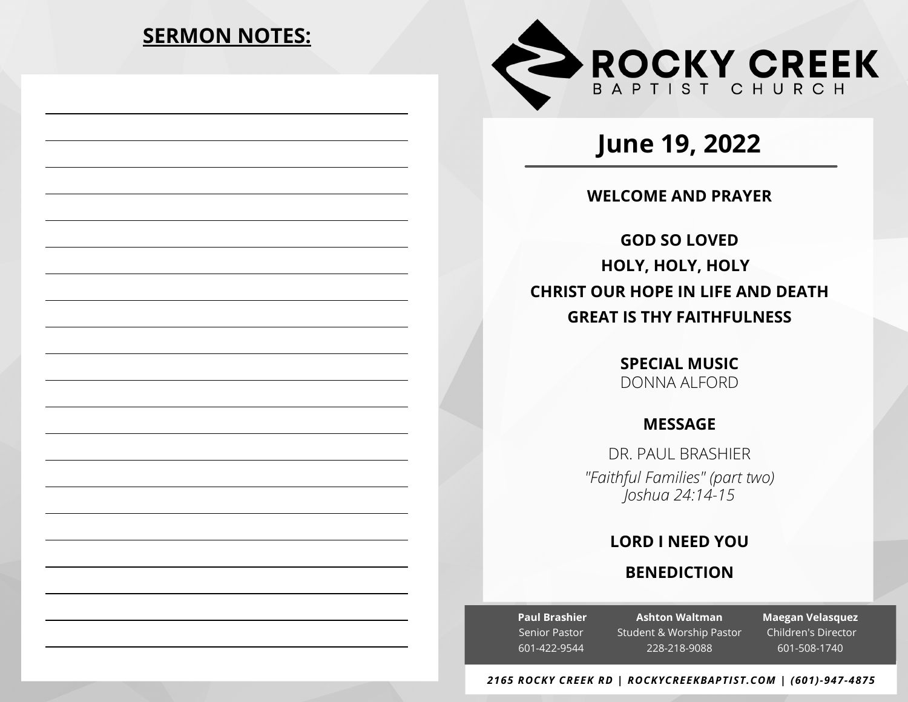# **SERMON NOTES:**



# **June 19, 2022**

# **WELCOME AND PRAYER**

**GOD SO LOVED HOLY, HOLY, HOLY CHRIST OUR HOPE IN LIFE AND DEATH GREAT IS THY FAITHFULNESS**

> **SPECIAL MUSIC** DONNA ALFORD

# **MESSAGE**

DR. PAUL BRASHIER *"Faithful Families" (part two) Joshua 24:14-15*

# **LORD I NEED YOU**

# **BENEDICTION**

**Paul Brashier** Senior Pastor 601-422-9544

**Ashton Waltman** Student & Worship Pastor 228-218-9088

**Maegan Velasquez** Children's Director 601-508-1740

#### *2165 ROCKY CREEK RD | ROCKYCREEKBAPTIST.COM | (601)-947-4875*